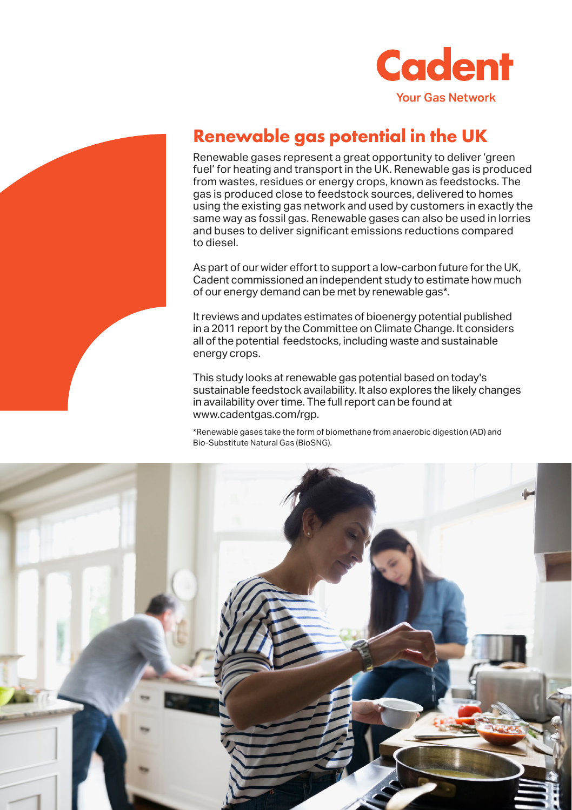



## **Renewable gas potential in the UK**

Renewable gases represent a great opportunity to deliver 'green fuel' for heating and transport in the UK. Renewable gas is produced from wastes, residues or energy crops, known as feedstocks. The gas is produced close to feedstock sources, delivered to homes using the existing gas network and used by customers in exactly the same way as fossil gas. Renewable gases can also be used in lorries and buses to deliver significant emissions reductions compared to diesel.

As part of our wider effort to support a low-carbon future for the UK, Cadent commissioned an independent study to estimate how much of our energy demand can be met by renewable gas\*.

It reviews and updates estimates of bioenergy potential published in a 2011 report by the Committee on Climate Change. It considers all of the potential feedstocks, including waste and sustainable energy crops.

This study looks at renewable gas potential based on today's sustainable feedstock availability. It also explores the likely changes in availability over time. The full report can be found at www.cadentgas.com/rgp.

\*Renewable gases take the form of biomethane from anaerobic digestion (AD) and Bio-Substitute Natural Gas (BioSNG).